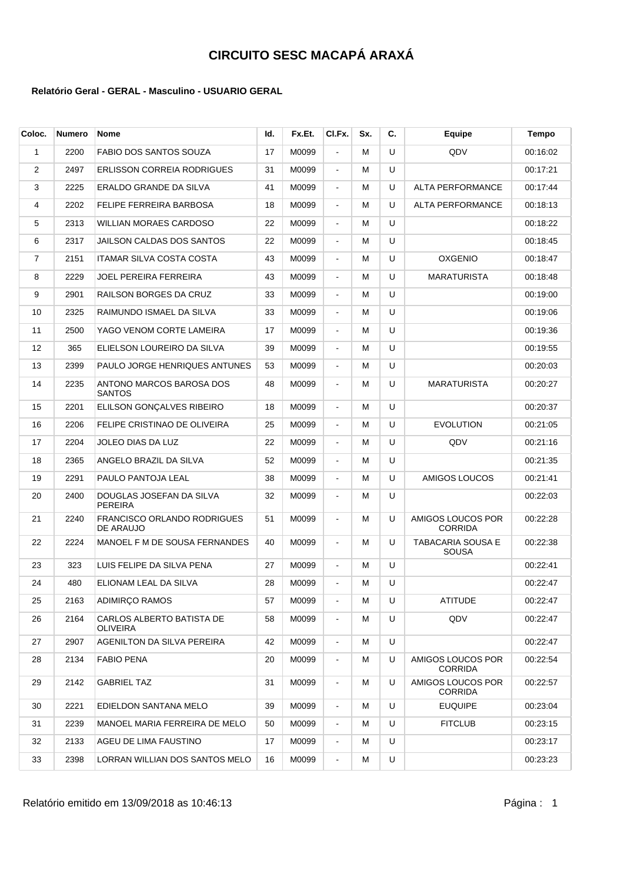| Coloc. | <b>Numero</b> | <b>Nome</b>                                     | ld. | Fx.Et. | CI.Fx.         | Sx. | C. | <b>Equipe</b>                            | Tempo    |
|--------|---------------|-------------------------------------------------|-----|--------|----------------|-----|----|------------------------------------------|----------|
| 1      | 2200          | FABIO DOS SANTOS SOUZA                          | 17  | M0099  | $\blacksquare$ | м   | U  | QDV                                      | 00:16:02 |
| 2      | 2497          | <b>ERLISSON CORREIA RODRIGUES</b>               | 31  | M0099  | $\blacksquare$ | м   | U  |                                          | 00:17:21 |
| 3      | 2225          | ERALDO GRANDE DA SILVA                          | 41  | M0099  | $\blacksquare$ | м   | U  | <b>ALTA PERFORMANCE</b>                  | 00:17:44 |
| 4      | 2202          | FELIPE FERREIRA BARBOSA                         | 18  | M0099  | $\blacksquare$ | м   | U  | <b>ALTA PERFORMANCE</b>                  | 00:18:13 |
| 5      | 2313          | <b>WILLIAN MORAES CARDOSO</b>                   | 22  | M0099  | $\blacksquare$ | М   | U  |                                          | 00:18:22 |
| 6      | 2317          | JAILSON CALDAS DOS SANTOS                       | 22  | M0099  | $\blacksquare$ | м   | U  |                                          | 00:18:45 |
| 7      | 2151          | ITAMAR SILVA COSTA COSTA                        | 43  | M0099  | $\blacksquare$ | м   | U  | <b>OXGENIO</b>                           | 00:18:47 |
| 8      | 2229          | JOEL PEREIRA FERREIRA                           | 43  | M0099  | $\blacksquare$ | м   | U  | <b>MARATURISTA</b>                       | 00:18:48 |
| 9      | 2901          | RAILSON BORGES DA CRUZ                          | 33  | M0099  | $\blacksquare$ | м   | U  |                                          | 00:19:00 |
| 10     | 2325          | RAIMUNDO ISMAEL DA SILVA                        | 33  | M0099  | $\blacksquare$ | м   | U  |                                          | 00:19:06 |
| 11     | 2500          | YAGO VENOM CORTE LAMEIRA                        | 17  | M0099  | $\blacksquare$ | м   | U  |                                          | 00:19:36 |
| 12     | 365           | ELIELSON LOUREIRO DA SILVA                      | 39  | M0099  | $\blacksquare$ | м   | U  |                                          | 00:19:55 |
| 13     | 2399          | PAULO JORGE HENRIQUES ANTUNES                   | 53  | M0099  | $\blacksquare$ | м   | U  |                                          | 00:20:03 |
| 14     | 2235          | ANTONO MARCOS BAROSA DOS<br><b>SANTOS</b>       | 48  | M0099  | $\blacksquare$ | м   | U  | MARATURISTA                              | 00:20:27 |
| 15     | 2201          | ELILSON GONCALVES RIBEIRO                       | 18  | M0099  | $\blacksquare$ | м   | U  |                                          | 00:20:37 |
| 16     | 2206          | FELIPE CRISTINAO DE OLIVEIRA                    | 25  | M0099  | $\blacksquare$ | м   | U  | <b>EVOLUTION</b>                         | 00:21:05 |
| 17     | 2204          | JOLEO DIAS DA LUZ                               | 22  | M0099  | $\blacksquare$ | м   | U  | QDV                                      | 00:21:16 |
| 18     | 2365          | ANGELO BRAZIL DA SILVA                          | 52  | M0099  | $\blacksquare$ | м   | U  |                                          | 00:21:35 |
| 19     | 2291          | PAULO PANTOJA LEAL                              | 38  | M0099  | $\blacksquare$ | м   | U  | AMIGOS LOUCOS                            | 00:21:41 |
| 20     | 2400          | DOUGLAS JOSEFAN DA SILVA<br><b>PEREIRA</b>      | 32  | M0099  | $\blacksquare$ | м   | U  |                                          | 00:22:03 |
| 21     | 2240          | <b>FRANCISCO ORLANDO RODRIGUES</b><br>DE ARAUJO | 51  | M0099  | $\blacksquare$ | м   | U  | AMIGOS LOUCOS POR<br><b>CORRIDA</b>      | 00:22:28 |
| 22     | 2224          | MANOEL F M DE SOUSA FERNANDES                   | 40  | M0099  | $\blacksquare$ | М   | U  | <b>TABACARIA SOUSA E</b><br><b>SOUSA</b> | 00:22:38 |
| 23     | 323           | LUIS FELIPE DA SILVA PENA                       | 27  | M0099  | $\blacksquare$ | м   | U  |                                          | 00:22:41 |
| 24     | 480           | ELIONAM LEAL DA SILVA                           | 28  | M0099  | $\blacksquare$ | м   | U  |                                          | 00:22:47 |
| 25     | 2163          | <b>ADIMIRCO RAMOS</b>                           | 57  | M0099  | $\blacksquare$ | м   | U  | <b>ATITUDE</b>                           | 00:22:47 |
| 26     | 2164          | CARLOS ALBERTO BATISTA DE<br><b>OLIVEIRA</b>    | 58  | M0099  | $\blacksquare$ | м   | U  | QDV                                      | 00:22:47 |
| 27     | 2907          | AGENILTON DA SILVA PEREIRA                      | 42  | M0099  | $\blacksquare$ | м   | U  |                                          | 00:22:47 |
| 28     | 2134          | <b>FABIO PENA</b>                               | 20  | M0099  | $\blacksquare$ | м   | U  | AMIGOS LOUCOS POR<br><b>CORRIDA</b>      | 00:22:54 |
| 29     | 2142          | <b>GABRIEL TAZ</b>                              | 31  | M0099  | $\blacksquare$ | м   | U  | AMIGOS LOUCOS POR<br><b>CORRIDA</b>      | 00:22:57 |
| 30     | 2221          | EDIELDON SANTANA MELO                           | 39  | M0099  | $\blacksquare$ | м   | U  | <b>EUQUIPE</b>                           | 00:23:04 |
| 31     | 2239          | MANOEL MARIA FERREIRA DE MELO                   | 50  | M0099  | $\blacksquare$ | м   | U  | <b>FITCLUB</b>                           | 00:23:15 |
| 32     | 2133          | AGEU DE LIMA FAUSTINO                           | 17  | M0099  | $\blacksquare$ | м   | U  |                                          | 00:23:17 |
| 33     | 2398          | LORRAN WILLIAN DOS SANTOS MELO                  | 16  | M0099  | $\blacksquare$ | м   | U  |                                          | 00:23:23 |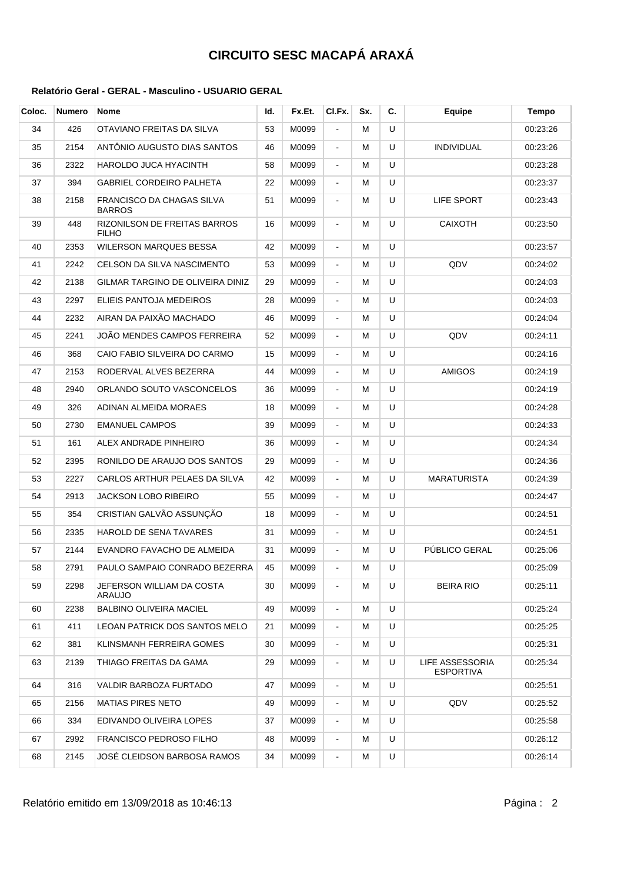| Coloc. | <b>Numero</b> | Nome                                                | ld. | Fx.Et. | CI.Fx.                   | Sx. | C. | Equipe                              | Tempo    |
|--------|---------------|-----------------------------------------------------|-----|--------|--------------------------|-----|----|-------------------------------------|----------|
| 34     | 426           | OTAVIANO FREITAS DA SILVA                           | 53  | M0099  | $\overline{\phantom{a}}$ | м   | U  |                                     | 00:23:26 |
| 35     | 2154          | ANTÔNIO AUGUSTO DIAS SANTOS                         | 46  | M0099  | $\blacksquare$           | м   | U  | <b>INDIVIDUAL</b>                   | 00:23:26 |
| 36     | 2322          | HAROLDO JUCA HYACINTH                               | 58  | M0099  | $\blacksquare$           | м   | U  |                                     | 00:23:28 |
| 37     | 394           | <b>GABRIEL CORDEIRO PALHETA</b>                     | 22  | M0099  | $\blacksquare$           | м   | U  |                                     | 00:23:37 |
| 38     | 2158          | FRANCISCO DA CHAGAS SILVA<br><b>BARROS</b>          | 51  | M0099  | $\blacksquare$           | м   | U  | LIFE SPORT                          | 00:23:43 |
| 39     | 448           | <b>RIZONILSON DE FREITAS BARROS</b><br><b>FILHO</b> | 16  | M0099  | $\blacksquare$           | м   | U  | <b>CAIXOTH</b>                      | 00:23:50 |
| 40     | 2353          | <b>WILERSON MARQUES BESSA</b>                       | 42  | M0099  | $\blacksquare$           | м   | U  |                                     | 00:23:57 |
| 41     | 2242          | CELSON DA SILVA NASCIMENTO                          | 53  | M0099  | $\blacksquare$           | м   | U  | QDV                                 | 00:24:02 |
| 42     | 2138          | GILMAR TARGINO DE OLIVEIRA DINIZ                    | 29  | M0099  | $\blacksquare$           | м   | U  |                                     | 00:24:03 |
| 43     | 2297          | ELIEIS PANTOJA MEDEIROS                             | 28  | M0099  | $\blacksquare$           | м   | U  |                                     | 00:24:03 |
| 44     | 2232          | AIRAN DA PAIXÃO MACHADO                             | 46  | M0099  | $\blacksquare$           | м   | U  |                                     | 00:24:04 |
| 45     | 2241          | JOÃO MENDES CAMPOS FERREIRA                         | 52  | M0099  | $\blacksquare$           | м   | U  | QDV                                 | 00:24:11 |
| 46     | 368           | CAIO FABIO SILVEIRA DO CARMO                        | 15  | M0099  | $\blacksquare$           | м   | U  |                                     | 00:24:16 |
| 47     | 2153          | RODERVAL ALVES BEZERRA                              | 44  | M0099  | $\blacksquare$           | м   | U  | <b>AMIGOS</b>                       | 00:24:19 |
| 48     | 2940          | ORLANDO SOUTO VASCONCELOS                           | 36  | M0099  | $\blacksquare$           | м   | U  |                                     | 00:24:19 |
| 49     | 326           | ADINAN ALMEIDA MORAES                               | 18  | M0099  | $\blacksquare$           | м   | U  |                                     | 00:24:28 |
| 50     | 2730          | <b>EMANUEL CAMPOS</b>                               | 39  | M0099  | $\blacksquare$           | м   | U  |                                     | 00:24:33 |
| 51     | 161           | ALEX ANDRADE PINHEIRO                               | 36  | M0099  | $\blacksquare$           | м   | U  |                                     | 00:24:34 |
| 52     | 2395          | RONILDO DE ARAUJO DOS SANTOS                        | 29  | M0099  | $\blacksquare$           | м   | U  |                                     | 00:24:36 |
| 53     | 2227          | CARLOS ARTHUR PELAES DA SILVA                       | 42  | M0099  | $\blacksquare$           | м   | U  | <b>MARATURISTA</b>                  | 00:24:39 |
| 54     | 2913          | JACKSON LOBO RIBEIRO                                | 55  | M0099  | $\blacksquare$           | м   | U  |                                     | 00:24:47 |
| 55     | 354           | CRISTIAN GALVÃO ASSUNÇÃO                            | 18  | M0099  | $\blacksquare$           | м   | U  |                                     | 00:24:51 |
| 56     | 2335          | HAROLD DE SENA TAVARES                              | 31  | M0099  | $\blacksquare$           | м   | U  |                                     | 00:24:51 |
| 57     | 2144          | EVANDRO FAVACHO DE ALMEIDA                          | 31  | M0099  | $\blacksquare$           | м   | U  | PÚBLICO GERAL                       | 00:25:06 |
| 58     | 2791          | PAULO SAMPAIO CONRADO BEZERRA                       | 45  | M0099  |                          | м   | U  |                                     | 00:25:09 |
| 59     | 2298          | JEFERSON WILLIAM DA COSTA<br>ARAUJO                 | 30  | M0099  | $\blacksquare$           | м   | U  | <b>BEIRA RIO</b>                    | 00:25:11 |
| 60     | 2238          | BALBINO OLIVEIRA MACIEL                             | 49  | M0099  | $\blacksquare$           | м   | U  |                                     | 00:25:24 |
| 61     | 411           | LEOAN PATRICK DOS SANTOS MELO                       | 21  | M0099  | $\blacksquare$           | м   | U  |                                     | 00:25:25 |
| 62     | 381           | KLINSMANH FERREIRA GOMES                            | 30  | M0099  | $\blacksquare$           | м   | U  |                                     | 00:25:31 |
| 63     | 2139          | THIAGO FREITAS DA GAMA                              | 29  | M0099  | $\blacksquare$           | м   | U  | LIFE ASSESSORIA<br><b>ESPORTIVA</b> | 00:25:34 |
| 64     | 316           | VALDIR BARBOZA FURTADO                              | 47  | M0099  | $\blacksquare$           | м   | U  |                                     | 00:25:51 |
| 65     | 2156          | MATIAS PIRES NETO                                   | 49  | M0099  | $\blacksquare$           | м   | U  | QDV                                 | 00:25:52 |
| 66     | 334           | EDIVANDO OLIVEIRA LOPES                             | 37  | M0099  | $\blacksquare$           | м   | U  |                                     | 00:25:58 |
| 67     | 2992          | FRANCISCO PEDROSO FILHO                             | 48  | M0099  | $\blacksquare$           | м   | U  |                                     | 00:26:12 |
| 68     | 2145          | JOSÉ CLEIDSON BARBOSA RAMOS                         | 34  | M0099  | $\blacksquare$           | м   | U  |                                     | 00:26:14 |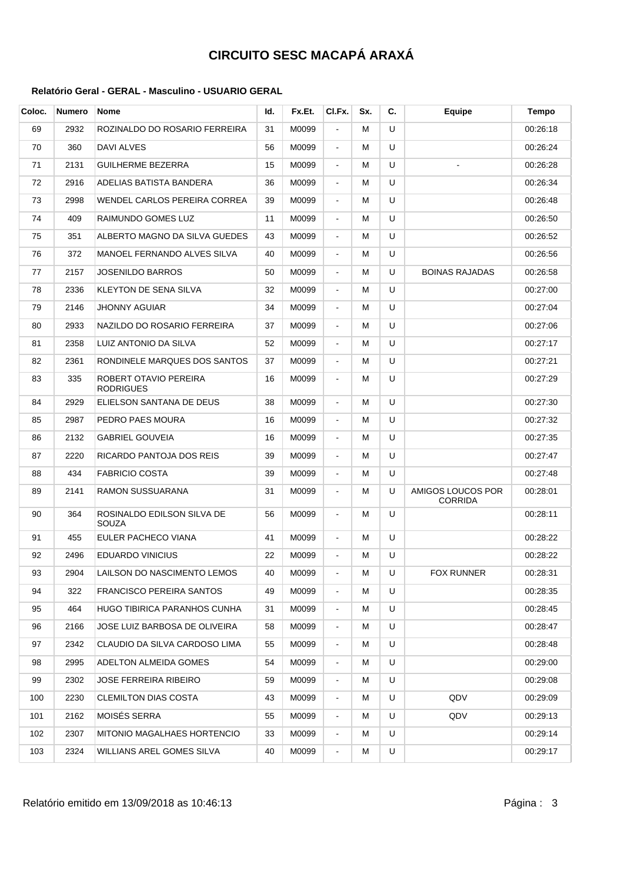| Coloc. | <b>Numero</b> | Nome                                      | Id. | Fx.Et. | CI.Fx.                   | Sx. | C. | Equipe                              | Tempo    |
|--------|---------------|-------------------------------------------|-----|--------|--------------------------|-----|----|-------------------------------------|----------|
| 69     | 2932          | ROZINALDO DO ROSARIO FERREIRA             | 31  | M0099  | $\overline{\phantom{a}}$ | м   | U  |                                     | 00:26:18 |
| 70     | 360           | DAVI ALVES                                | 56  | M0099  | $\blacksquare$           | м   | U  |                                     | 00:26:24 |
| 71     | 2131          | <b>GUILHERME BEZERRA</b>                  | 15  | M0099  | $\blacksquare$           | м   | U  |                                     | 00:26:28 |
| 72     | 2916          | ADELIAS BATISTA BANDERA                   | 36  | M0099  | $\blacksquare$           | м   | U  |                                     | 00:26:34 |
| 73     | 2998          | WENDEL CARLOS PEREIRA CORREA              | 39  | M0099  | $\blacksquare$           | м   | U  |                                     | 00:26:48 |
| 74     | 409           | RAIMUNDO GOMES LUZ                        | 11  | M0099  | $\blacksquare$           | м   | U  |                                     | 00:26:50 |
| 75     | 351           | ALBERTO MAGNO DA SILVA GUEDES             | 43  | M0099  | $\blacksquare$           | м   | U  |                                     | 00:26:52 |
| 76     | 372           | MANOEL FERNANDO ALVES SILVA               | 40  | M0099  | $\blacksquare$           | м   | U  |                                     | 00:26:56 |
| 77     | 2157          | <b>JOSENILDO BARROS</b>                   | 50  | M0099  | $\blacksquare$           | м   | U  | <b>BOINAS RAJADAS</b>               | 00:26:58 |
| 78     | 2336          | KLEYTON DE SENA SILVA                     | 32  | M0099  | $\blacksquare$           | м   | U  |                                     | 00:27:00 |
| 79     | 2146          | JHONNY AGUIAR                             | 34  | M0099  | $\blacksquare$           | м   | U  |                                     | 00:27:04 |
| 80     | 2933          | NAZILDO DO ROSARIO FERREIRA               | 37  | M0099  | $\blacksquare$           | м   | U  |                                     | 00:27:06 |
| 81     | 2358          | LUIZ ANTONIO DA SILVA                     | 52  | M0099  | $\blacksquare$           | м   | U  |                                     | 00:27:17 |
| 82     | 2361          | RONDINELE MARQUES DOS SANTOS              | 37  | M0099  | $\blacksquare$           | м   | U  |                                     | 00:27:21 |
| 83     | 335           | ROBERT OTAVIO PEREIRA<br><b>RODRIGUES</b> | 16  | M0099  | $\blacksquare$           | м   | U  |                                     | 00:27:29 |
| 84     | 2929          | ELIELSON SANTANA DE DEUS                  | 38  | M0099  | $\blacksquare$           | м   | U  |                                     | 00:27:30 |
| 85     | 2987          | PEDRO PAES MOURA                          | 16  | M0099  | $\blacksquare$           | м   | U  |                                     | 00:27:32 |
| 86     | 2132          | <b>GABRIEL GOUVEIA</b>                    | 16  | M0099  | $\blacksquare$           | м   | U  |                                     | 00:27:35 |
| 87     | 2220          | RICARDO PANTOJA DOS REIS                  | 39  | M0099  | $\blacksquare$           | м   | U  |                                     | 00:27:47 |
| 88     | 434           | <b>FABRICIO COSTA</b>                     | 39  | M0099  | $\blacksquare$           | м   | U  |                                     | 00:27:48 |
| 89     | 2141          | RAMON SUSSUARANA                          | 31  | M0099  | $\blacksquare$           | м   | U  | AMIGOS LOUCOS POR<br><b>CORRIDA</b> | 00:28:01 |
| 90     | 364           | ROSINALDO EDILSON SILVA DE<br>SOUZA       | 56  | M0099  | $\blacksquare$           | м   | U  |                                     | 00:28:11 |
| 91     | 455           | EULER PACHECO VIANA                       | 41  | M0099  | $\blacksquare$           | м   | U  |                                     | 00:28:22 |
| 92     | 2496          | <b>EDUARDO VINICIUS</b>                   | 22  | M0099  | $\blacksquare$           | м   | U  |                                     | 00:28:22 |
| 93     | 2904          | LAILSON DO NASCIMENTO LEMOS               | 40  | M0099  |                          | M   | U  | <b>FOX RUNNER</b>                   | 00:28:31 |
| 94     | 322           | <b>FRANCISCO PEREIRA SANTOS</b>           | 49  | M0099  | $\blacksquare$           | м   | U  |                                     | 00:28:35 |
| 95     | 464           | HUGO TIBIRICA PARANHOS CUNHA              | 31  | M0099  | $\blacksquare$           | м   | U  |                                     | 00:28:45 |
| 96     | 2166          | JOSE LUIZ BARBOSA DE OLIVEIRA             | 58  | M0099  | $\blacksquare$           | м   | U  |                                     | 00:28:47 |
| 97     | 2342          | CLAUDIO DA SILVA CARDOSO LIMA             | 55  | M0099  | $\blacksquare$           | м   | U  |                                     | 00:28:48 |
| 98     | 2995          | ADELTON ALMEIDA GOMES                     | 54  | M0099  | $\blacksquare$           | м   | U  |                                     | 00:29:00 |
| 99     | 2302          | <b>JOSE FERREIRA RIBEIRO</b>              | 59  | M0099  | $\blacksquare$           | м   | U  |                                     | 00:29:08 |
| 100    | 2230          | CLEMILTON DIAS COSTA                      | 43  | M0099  | $\blacksquare$           | м   | U  | QDV                                 | 00:29:09 |
| 101    | 2162          | MOISES SERRA                              | 55  | M0099  | $\blacksquare$           | м   | U  | QDV                                 | 00:29:13 |
| 102    | 2307          | MITONIO MAGALHAES HORTENCIO               | 33  | M0099  | $\blacksquare$           | м   | U  |                                     | 00:29:14 |
| 103    | 2324          | WILLIANS AREL GOMES SILVA                 | 40  | M0099  | $\blacksquare$           | м   | U  |                                     | 00:29:17 |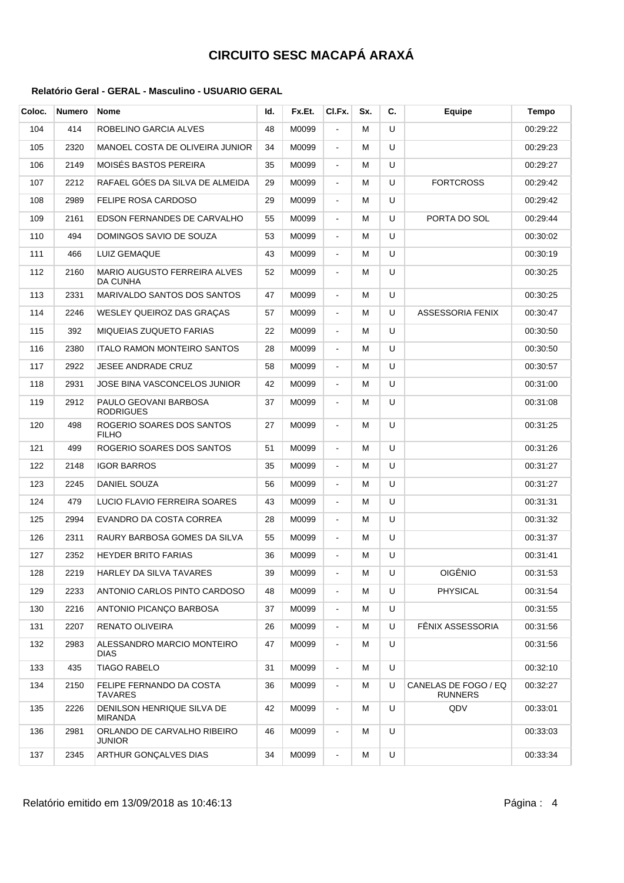| Coloc. | <b>Numero</b> | Nome                                            | Id. | Fx.Et. | CI.Fx.         | Sx. | C. | <b>Equipe</b>                          | Tempo    |
|--------|---------------|-------------------------------------------------|-----|--------|----------------|-----|----|----------------------------------------|----------|
| 104    | 414           | ROBELINO GARCIA ALVES                           | 48  | M0099  | $\blacksquare$ | M   | U  |                                        | 00:29:22 |
| 105    | 2320          | MANOEL COSTA DE OLIVEIRA JUNIOR                 | 34  | M0099  | $\blacksquare$ | м   | U  |                                        | 00:29:23 |
| 106    | 2149          | MOISÉS BASTOS PEREIRA                           | 35  | M0099  | $\blacksquare$ | м   | U  |                                        | 00:29:27 |
| 107    | 2212          | RAFAEL GÓES DA SILVA DE ALMEIDA                 | 29  | M0099  | $\blacksquare$ | м   | U  | <b>FORTCROSS</b>                       | 00:29:42 |
| 108    | 2989          | FELIPE ROSA CARDOSO                             | 29  | M0099  | $\blacksquare$ | м   | U  |                                        | 00:29:42 |
| 109    | 2161          | EDSON FERNANDES DE CARVALHO                     | 55  | M0099  | $\blacksquare$ | м   | U  | PORTA DO SOL                           | 00:29:44 |
| 110    | 494           | DOMINGOS SAVIO DE SOUZA                         | 53  | M0099  | $\blacksquare$ | м   | U  |                                        | 00:30:02 |
| 111    | 466           | LUIZ GEMAQUE                                    | 43  | M0099  | $\blacksquare$ | м   | U  |                                        | 00:30:19 |
| 112    | 2160          | MARIO AUGUSTO FERREIRA ALVES<br><b>DA CUNHA</b> | 52  | M0099  | $\blacksquare$ | м   | U  |                                        | 00:30:25 |
| 113    | 2331          | MARIVALDO SANTOS DOS SANTOS                     | 47  | M0099  | $\blacksquare$ | м   | U  |                                        | 00:30:25 |
| 114    | 2246          | WESLEY QUEIROZ DAS GRACAS                       | 57  | M0099  | $\blacksquare$ | м   | U  | ASSESSORIA FENIX                       | 00:30:47 |
| 115    | 392           | <b>MIQUEIAS ZUQUETO FARIAS</b>                  | 22  | M0099  | $\blacksquare$ | M   | U  |                                        | 00:30:50 |
| 116    | 2380          | <b>ITALO RAMON MONTEIRO SANTOS</b>              | 28  | M0099  | $\blacksquare$ | м   | U  |                                        | 00:30:50 |
| 117    | 2922          | JESEE ANDRADE CRUZ                              | 58  | M0099  | $\blacksquare$ | м   | U  |                                        | 00:30:57 |
| 118    | 2931          | JOSE BINA VASCONCELOS JUNIOR                    | 42  | M0099  | $\blacksquare$ | м   | U  |                                        | 00:31:00 |
| 119    | 2912          | PAULO GEOVANI BARBOSA<br><b>RODRIGUES</b>       | 37  | M0099  | $\blacksquare$ | м   | U  |                                        | 00:31:08 |
| 120    | 498           | ROGERIO SOARES DOS SANTOS<br><b>FILHO</b>       | 27  | M0099  | $\blacksquare$ | м   | U  |                                        | 00:31:25 |
| 121    | 499           | ROGERIO SOARES DOS SANTOS                       | 51  | M0099  | $\blacksquare$ | м   | U  |                                        | 00:31:26 |
| 122    | 2148          | <b>IGOR BARROS</b>                              | 35  | M0099  | $\blacksquare$ | м   | U  |                                        | 00:31:27 |
| 123    | 2245          | DANIEL SOUZA                                    | 56  | M0099  | $\blacksquare$ | м   | U  |                                        | 00:31:27 |
| 124    | 479           | LUCIO FLAVIO FERREIRA SOARES                    | 43  | M0099  | $\blacksquare$ | м   | U  |                                        | 00:31:31 |
| 125    | 2994          | EVANDRO DA COSTA CORREA                         | 28  | M0099  | $\blacksquare$ | м   | U  |                                        | 00:31:32 |
| 126    | 2311          | RAURY BARBOSA GOMES DA SILVA                    | 55  | M0099  | $\blacksquare$ | м   | U  |                                        | 00:31:37 |
| 127    | 2352          | <b>HEYDER BRITO FARIAS</b>                      | 36  | M0099  | $\blacksquare$ | м   | U  |                                        | 00:31:41 |
| 128    | 2219          | HARLEY DA SILVA TAVARES                         | 39  | M0099  |                | M   | U  | <b>OIGÊNIO</b>                         | 00:31:53 |
| 129    | 2233          | ANTONIO CARLOS PINTO CARDOSO                    | 48  | M0099  | $\blacksquare$ | м   | U  | <b>PHYSICAL</b>                        | 00:31:54 |
| 130    | 2216          | ANTONIO PICANCO BARBOSA                         | 37  | M0099  | $\blacksquare$ | м   | U  |                                        | 00:31:55 |
| 131    | 2207          | RENATO OLIVEIRA                                 | 26  | M0099  | $\blacksquare$ | м   | U  | FÊNIX ASSESSORIA                       | 00:31:56 |
| 132    | 2983          | ALESSANDRO MARCIO MONTEIRO<br><b>DIAS</b>       | 47  | M0099  | $\blacksquare$ | м   | U  |                                        | 00:31:56 |
| 133    | 435           | <b>TIAGO RABELO</b>                             | 31  | M0099  | $\blacksquare$ | м   | U  |                                        | 00:32:10 |
| 134    | 2150          | FELIPE FERNANDO DA COSTA<br>TAVARES             | 36  | M0099  | $\blacksquare$ | м   | U  | CANELAS DE FOGO / EQ<br><b>RUNNERS</b> | 00:32:27 |
| 135    | 2226          | DENILSON HENRIQUE SILVA DE<br>MIRANDA           | 42  | M0099  | $\blacksquare$ | м   | U  | QDV                                    | 00:33:01 |
| 136    | 2981          | ORLANDO DE CARVALHO RIBEIRO<br><b>JUNIOR</b>    | 46  | M0099  | $\blacksquare$ | м   | U  |                                        | 00:33:03 |
| 137    | 2345          | ARTHUR GONÇALVES DIAS                           | 34  | M0099  | $\blacksquare$ | м   | U  |                                        | 00:33:34 |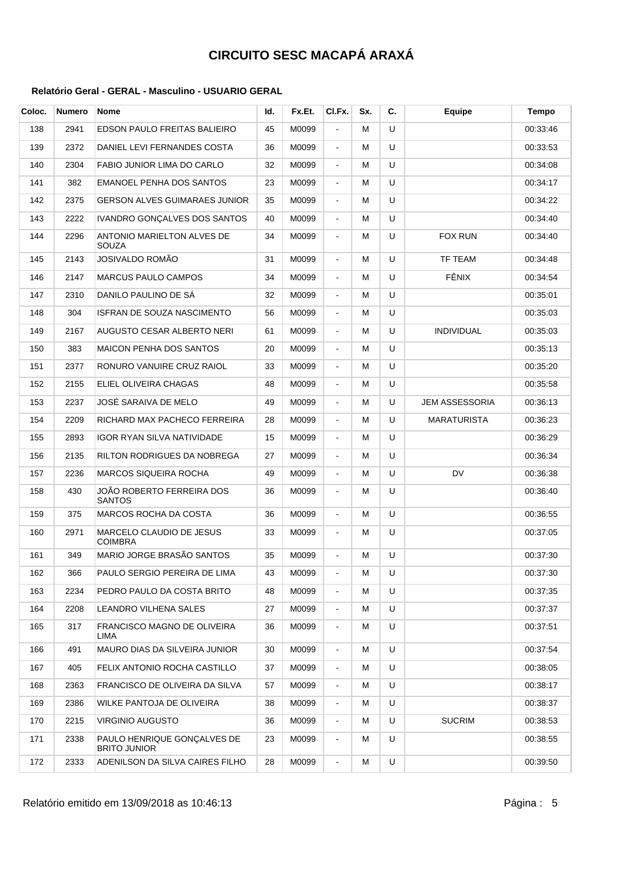| Coloc. | <b>Numero</b> | <b>Nome</b>                                        | ld. | Fx.Et. | CI.Fx.         | Sx. | C. | <b>Equipe</b>         | <b>Tempo</b> |
|--------|---------------|----------------------------------------------------|-----|--------|----------------|-----|----|-----------------------|--------------|
| 138    | 2941          | EDSON PAULO FREITAS BALIEIRO                       | 45  | M0099  | $\blacksquare$ | М   | U  |                       | 00:33:46     |
| 139    | 2372          | DANIEL LEVI FERNANDES COSTA                        | 36  | M0099  | $\blacksquare$ | М   | U  |                       | 00:33:53     |
| 140    | 2304          | FABIO JUNIOR LIMA DO CARLO                         | 32  | M0099  | $\blacksquare$ | м   | U  |                       | 00:34:08     |
| 141    | 382           | <b>EMANOEL PENHA DOS SANTOS</b>                    | 23  | M0099  | $\blacksquare$ | м   | U  |                       | 00:34:17     |
| 142    | 2375          | <b>GERSON ALVES GUIMARAES JUNIOR</b>               | 35  | M0099  | $\blacksquare$ | М   | U  |                       | 00:34:22     |
| 143    | 2222          | <b>IVANDRO GONCALVES DOS SANTOS</b>                | 40  | M0099  | $\blacksquare$ | М   | U  |                       | 00:34:40     |
| 144    | 2296          | ANTONIO MARIELTON ALVES DE<br>SOUZA                | 34  | M0099  | $\blacksquare$ | м   | U  | <b>FOX RUN</b>        | 00:34:40     |
| 145    | 2143          | JOSIVALDO ROMÃO                                    | 31  | M0099  | $\blacksquare$ | м   | U  | TF TEAM               | 00:34:48     |
| 146    | 2147          | <b>MARCUS PAULO CAMPOS</b>                         | 34  | M0099  | $\blacksquare$ | М   | U  | FÊNIX                 | 00:34:54     |
| 147    | 2310          | DANILO PAULINO DE SÁ                               | 32  | M0099  | $\blacksquare$ | М   | U  |                       | 00:35:01     |
| 148    | 304           | <b>ISFRAN DE SOUZA NASCIMENTO</b>                  | 56  | M0099  | $\blacksquare$ | м   | U  |                       | 00:35:03     |
| 149    | 2167          | AUGUSTO CESAR ALBERTO NERI                         | 61  | M0099  | $\blacksquare$ | М   | U  | <b>INDIVIDUAL</b>     | 00:35:03     |
| 150    | 383           | <b>MAICON PENHA DOS SANTOS</b>                     | 20  | M0099  | $\blacksquare$ | М   | U  |                       | 00:35:13     |
| 151    | 2377          | RONURO VANUIRE CRUZ RAIOL                          | 33  | M0099  | $\blacksquare$ | м   | U  |                       | 00:35:20     |
| 152    | 2155          | ELIEL OLIVEIRA CHAGAS                              | 48  | M0099  | $\blacksquare$ | м   | U  |                       | 00:35:58     |
| 153    | 2237          | JOSÉ SARAIVA DE MELO                               | 49  | M0099  | $\blacksquare$ | М   | U  | <b>JEM ASSESSORIA</b> | 00:36:13     |
| 154    | 2209          | RICHARD MAX PACHECO FERREIRA                       | 28  | M0099  | $\blacksquare$ | М   | U  | <b>MARATURISTA</b>    | 00:36:23     |
| 155    | 2893          | IGOR RYAN SILVA NATIVIDADE                         | 15  | M0099  | $\blacksquare$ | М   | U  |                       | 00:36:29     |
| 156    | 2135          | RILTON RODRIGUES DA NOBREGA                        | 27  | M0099  | $\blacksquare$ | М   | U  |                       | 00:36:34     |
| 157    | 2236          | <b>MARCOS SIQUEIRA ROCHA</b>                       | 49  | M0099  | $\blacksquare$ | м   | U  | <b>DV</b>             | 00:36:38     |
| 158    | 430           | JOÃO ROBERTO FERREIRA DOS<br><b>SANTOS</b>         | 36  | M0099  | $\blacksquare$ | м   | U  |                       | 00:36:40     |
| 159    | 375           | <b>MARCOS ROCHA DA COSTA</b>                       | 36  | M0099  | $\blacksquare$ | М   | U  |                       | 00:36:55     |
| 160    | 2971          | <b>MARCELO CLAUDIO DE JESUS</b><br><b>COIMBRA</b>  | 33  | M0099  | $\blacksquare$ | м   | U  |                       | 00:37:05     |
| 161    | 349           | MARIO JORGE BRASÃO SANTOS                          | 35  | M0099  | ÷.             | М   | U  |                       | 00:37:30     |
| 162    | 366           | PAULO SERGIO PEREIRA DE LIMA                       | 43  | M0099  |                | М   | U  |                       | 00:37:30     |
| 163    | 2234          | PEDRO PAULO DA COSTA BRITO                         | 48  | M0099  | $\blacksquare$ | м   | U  |                       | 00:37:35     |
| 164    | 2208          | LEANDRO VILHENA SALES                              | 27  | M0099  | $\blacksquare$ | м   | U  |                       | 00:37:37     |
| 165    | 317           | FRANCISCO MAGNO DE OLIVEIRA<br>LIMA                | 36  | M0099  | $\blacksquare$ | М   | U  |                       | 00:37:51     |
| 166    | 491           | <b>MAURO DIAS DA SILVEIRA JUNIOR</b>               | 30  | M0099  | $\blacksquare$ | м   | U  |                       | 00:37:54     |
| 167    | 405           | FELIX ANTONIO ROCHA CASTILLO                       | 37  | M0099  | $\blacksquare$ | м   | U  |                       | 00:38:05     |
| 168    | 2363          | FRANCISCO DE OLIVEIRA DA SILVA                     | 57  | M0099  | $\blacksquare$ | м   | U  |                       | 00:38:17     |
| 169    | 2386          | WILKE PANTOJA DE OLIVEIRA                          | 38  | M0099  | $\blacksquare$ | м   | U  |                       | 00:38:37     |
| 170    | 2215          | <b>VIRGINIO AUGUSTO</b>                            | 36  | M0099  | $\blacksquare$ | М   | U  | <b>SUCRIM</b>         | 00:38:53     |
| 171    | 2338          | PAULO HENRIQUE GONÇALVES DE<br><b>BRITO JUNIOR</b> | 23  | M0099  | $\blacksquare$ | М   | U  |                       | 00:38:55     |
| 172    | 2333          | ADENILSON DA SILVA CAIRES FILHO                    | 28  | M0099  | $\blacksquare$ | М   | U  |                       | 00:39:50     |